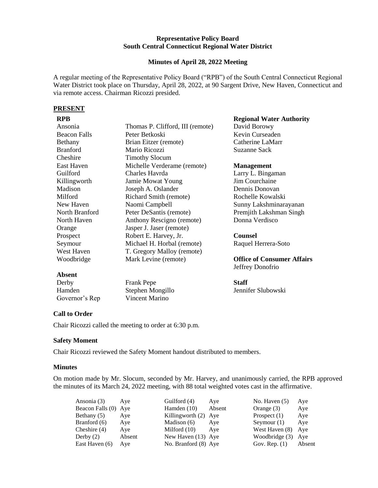### **Representative Policy Board South Central Connecticut Regional Water District**

#### **Minutes of April 28, 2022 Meeting**

A regular meeting of the Representative Policy Board ("RPB") of the South Central Connecticut Regional Water District took place on Thursday, April 28, 2022, at 90 Sargent Drive, New Haven, Connecticut and via remote access. Chairman Ricozzi presided.

## **PRESENT**

| Ansonia             | Thomas P. Clifford, III (remote) | David Borowy            |
|---------------------|----------------------------------|-------------------------|
| <b>Beacon Falls</b> | Peter Betkoski                   | Kevin Curseaden         |
| Bethany             | Brian Eitzer (remote)            | Catherine LaMarr        |
| <b>Branford</b>     | Mario Ricozzi                    | <b>Suzanne Sack</b>     |
| Cheshire            | <b>Timothy Slocum</b>            |                         |
| East Haven          | Michelle Verderame (remote)      | <b>Management</b>       |
| Guilford            | Charles Havrda                   | Larry L. Bingama        |
| Killingworth        | Jamie Mowat Young                | Jim Courchaine          |
| Madison             | Joseph A. Oslander               | Dennis Donovan          |
| Milford             | Richard Smith (remote)           | Rochelle Kowalsk        |
| New Haven           | Naomi Campbell                   | Sunny Lakshmina         |
| North Branford      | Peter DeSantis (remote)          | Premjith Lakshma        |
| North Haven         | Anthony Rescigno (remote)        | Donna Verdisco          |
| Orange              | Jasper J. Jaser (remote)         |                         |
| Prospect            | Robert E. Harvey, Jr.            | <b>Counsel</b>          |
| Seymour             | Michael H. Horbal (remote)       | Raquel Herrera-So       |
| West Haven          | T. Gregory Malloy (remote)       |                         |
| Woodbridge          | Mark Levine (remote)             | <b>Office of Consun</b> |
|                     |                                  | Jeffrey Donofrio        |
| <b>Absent</b>       |                                  |                         |
|                     |                                  |                         |

| Derby          |  |
|----------------|--|
| Hamden         |  |
| Governor's Rep |  |

Frank Pepe Stephen Mongillo Vincent Marino

**Regional Water Authority** 

Larry L. Bingaman Rochelle Kowalski urayanan an Singh

oto

**Office of Consumer Affairs**

**Staff** Jennifer Slubowski

# **Call to Order**

Chair Ricozzi called the meeting to order at 6:30 p.m.

# **Safety Moment**

Chair Ricozzi reviewed the Safety Moment handout distributed to members.

## **Minutes**

On motion made by Mr. Slocum, seconded by Mr. Harvey, and unanimously carried, the RPB approved the minutes of its March 24, 2022 meeting, with 88 total weighted votes cast in the affirmative.

| Ansonia (3)          | Ave    | Guilford (4)         | Aye    | No. Haven $(5)$ | Aye    |
|----------------------|--------|----------------------|--------|-----------------|--------|
| Beacon Falls (0) Aye |        | Hamden $(10)$        | Absent | Orange $(3)$    | Aye    |
| Bethany $(5)$        | Aye    | Killingworth (2) Aye |        | Prospect $(1)$  | Aye    |
| Branford (6)         | Aye    | Madison (6)          | Aye    | Seymour $(1)$   | Aye    |
| Cheshire $(4)$       | Aye    | Milford $(10)$       | Ave    | West Haven (8)  | Aye    |
| Derby $(2)$          | Absent | New Haven (13) Aye   |        | Woodbridge (3)  | Ave    |
| East Haven (6)       | Aye    | No. Branford (8) Aye |        | Gov. Rep. $(1)$ | Absent |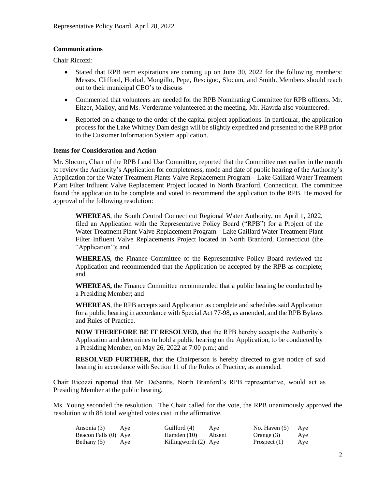## **Communications**

Chair Ricozzi:

- Stated that RPB term expirations are coming up on June 30, 2022 for the following members: Messrs. Clifford, Horbal, Mongillo, Pepe, Rescigno, Slocum, and Smith. Members should reach out to their municipal CEO's to discuss
- Commented that volunteers are needed for the RPB Nominating Committee for RPB officers. Mr. Eitzer, Malloy, and Ms. Verderame volunteered at the meeting. Mr. Havrda also volunteered.
- Reported on a change to the order of the capital project applications. In particular, the application process for the Lake Whitney Dam design will be slightly expedited and presented to the RPB prior to the Customer Information System application.

## **Items for Consideration and Action**

Mr. Slocum, Chair of the RPB Land Use Committee, reported that the Committee met earlier in the month to review the Authority's Application for completeness, mode and date of public hearing of the Authority's Application for the Water Treatment Plants Valve Replacement Program – Lake Gaillard Water Treatment Plant Filter Influent Valve Replacement Project located in North Branford, Connecticut. The committee found the application to be complete and voted to recommend the application to the RPB. He moved for approval of the following resolution:

**WHEREAS**, the South Central Connecticut Regional Water Authority, on April 1, 2022, filed an Application with the Representative Policy Board ("RPB") for a Project of the Water Treatment Plant Valve Replacement Program – Lake Gaillard Water Treatment Plant Filter Influent Valve Replacements Project located in North Branford, Connecticut (the "Application"); and

**WHEREAS***,* the Finance Committee of the Representative Policy Board reviewed the Application and recommended that the Application be accepted by the RPB as complete; and

**WHEREAS,** the Finance Committee recommended that a public hearing be conducted by a Presiding Member; and

**WHEREAS**, the RPB accepts said Application as complete and schedules said Application for a public hearing in accordance with Special Act 77-98, as amended, and the RPB Bylaws and Rules of Practice.

**NOW THEREFORE BE IT RESOLVED,** that the RPB hereby accepts the Authority's Application and determines to hold a public hearing on the Application, to be conducted by a Presiding Member, on May 26, 2022 at 7:00 p.m.; and

**RESOLVED FURTHER,** that the Chairperson is hereby directed to give notice of said hearing in accordance with Section 11 of the Rules of Practice, as amended.

Chair Ricozzi reported that Mr. DeSantis, North Branford's RPB representative, would act as Presiding Member at the public hearing.

Ms. Young seconded the resolution. The Chair called for the vote, the RPB unanimously approved the resolution with 88 total weighted votes cast in the affirmative.

| Ansonia (3)          | Ave | Guilford (4)           | Ave | No. Haven $(5)$ | Aye |
|----------------------|-----|------------------------|-----|-----------------|-----|
| Beacon Falls (0) Aye |     | Hamden (10) Absent     |     | Orange (3)      | Aye |
| Bethany (5)          | Aye | Killingworth $(2)$ Aye |     | Prospect $(1)$  | Aye |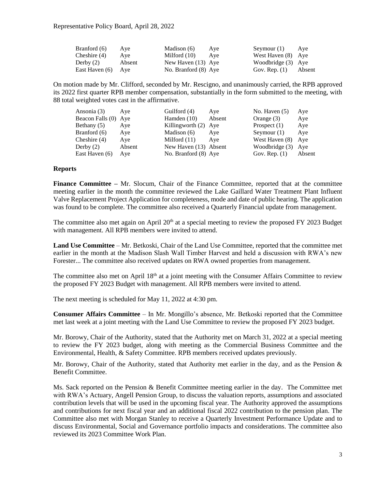| Branford (6)       | Aye    | Madison (6)          | Aye | Seymour $(1)$ Aye  |        |
|--------------------|--------|----------------------|-----|--------------------|--------|
| Cheshire (4)       | Ave    | Milford (10)         | Ave | West Haven (8) Aye |        |
| Derby $(2)$        | Absent | New Haven (13) Aye   |     | Woodbridge (3) Aye |        |
| East Haven (6) Aye |        | No. Branford (8) Aye |     | Gov. Rep. $(1)$    | Absent |

On motion made by Mr. Clifford, seconded by Mr. Rescigno, and unanimously carried, the RPB approved its 2022 first quarter RPB member compensation, substantially in the form submitted to the meeting, with 88 total weighted votes cast in the affirmative.

| Ansonia (3)          | Ave    | Guilford (4)          | Aye    | No. Haven $(5)$ | Aye    |
|----------------------|--------|-----------------------|--------|-----------------|--------|
| Beacon Falls (0) Aye |        | Hamden $(10)$         | Absent | Orange $(3)$    | Aye    |
| Bethany $(5)$        | Aye    | Killingworth (2) Aye  |        | Prospect $(1)$  | Aye    |
| Branford (6)         | Aye    | Madison (6)           | Ave    | Seymour $(1)$   | Aye    |
| Cheshire $(4)$       | Aye    | Milford $(11)$        | Ave    | West Haven (8)  | Ave    |
| Derby $(2)$          | Absent | New Haven (13) Absent |        | Woodbridge (3)  | Ave    |
| East Haven (6)       | Aye    | No. Branford (8) Aye  |        | Gov. Rep. $(1)$ | Absent |

#### **Reports**

**Finance Committee –** Mr. Slocum, Chair of the Finance Committee, reported that at the committee meeting earlier in the month the committee reviewed the Lake Gaillard Water Treatment Plant Influent Valve Replacement Project Application for completeness, mode and date of public hearing. The application was found to be complete. The committee also received a Quarterly Financial update from management.

The committee also met again on April  $20<sup>th</sup>$  at a special meeting to review the proposed FY 2023 Budget with management. All RPB members were invited to attend.

**Land Use Committee** – Mr. Betkoski, Chair of the Land Use Committee, reported that the committee met earlier in the month at the Madison Slash Wall Timber Harvest and held a discussion with RWA's new Forester... The committee also received updates on RWA owned properties from management.

The committee also met on April  $18<sup>th</sup>$  at a joint meeting with the Consumer Affairs Committee to review the proposed FY 2023 Budget with management. All RPB members were invited to attend.

The next meeting is scheduled for May 11, 2022 at 4:30 pm.

**Consumer Affairs Committee** – In Mr. Mongillo's absence, Mr. Betkoski reported that the Committee met last week at a joint meeting with the Land Use Committee to review the proposed FY 2023 budget.

Mr. Borowy, Chair of the Authority, stated that the Authority met on March 31, 2022 at a special meeting to review the FY 2023 budget, along with meeting as the Commercial Business Committee and the Environmental, Health, & Safety Committee. RPB members received updates previously.

Mr. Borowy, Chair of the Authority, stated that Authority met earlier in the day, and as the Pension  $\&$ Benefit Committee.

Ms. Sack reported on the Pension & Benefit Committee meeting earlier in the day. The Committee met with RWA's Actuary, Angell Pension Group, to discuss the valuation reports, assumptions and associated contribution levels that will be used in the upcoming fiscal year. The Authority approved the assumptions and contributions for next fiscal year and an additional fiscal 2022 contribution to the pension plan. The Committee also met with Morgan Stanley to receive a Quarterly Investment Performance Update and to discuss Environmental, Social and Governance portfolio impacts and considerations. The committee also reviewed its 2023 Committee Work Plan.